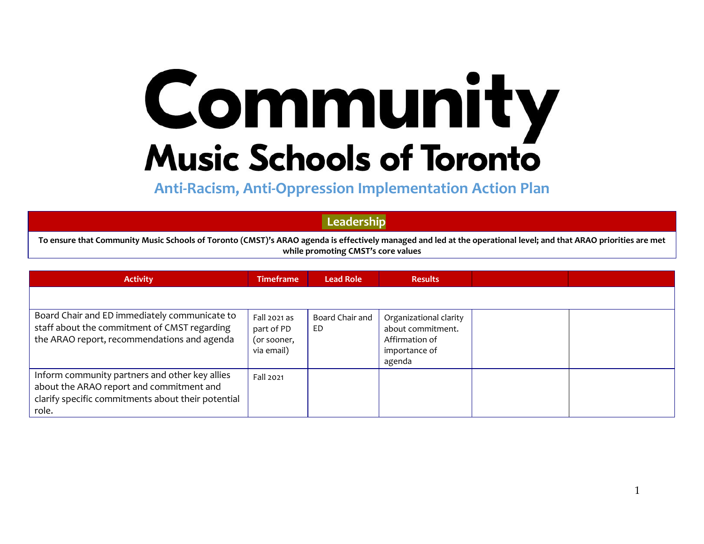## Community **Music Schools of Toronto**

**Anti-Racism, Anti-Oppression Implementation Action Plan**

**Leadership** 

To ensure that Community Music Schools of Toronto (CMST)'s ARAO agenda is effectively managed and led at the operational level; and that ARAO priorities are met **while promoting CMST's core values**

| <b>Activity</b>                                                                                                                                           | <b>Timeframe</b>                                        | <b>Lead Role</b>      | <b>Results</b>                                                                           |  |
|-----------------------------------------------------------------------------------------------------------------------------------------------------------|---------------------------------------------------------|-----------------------|------------------------------------------------------------------------------------------|--|
|                                                                                                                                                           |                                                         |                       |                                                                                          |  |
| Board Chair and ED immediately communicate to<br>staff about the commitment of CMST regarding<br>the ARAO report, recommendations and agenda              | Fall 2021 as<br>part of PD<br>(or sooner,<br>via email) | Board Chair and<br>ED | Organizational clarity<br>about commitment.<br>Affirmation of<br>importance of<br>agenda |  |
| Inform community partners and other key allies<br>about the ARAO report and commitment and<br>clarify specific commitments about their potential<br>role. | Fall 2021                                               |                       |                                                                                          |  |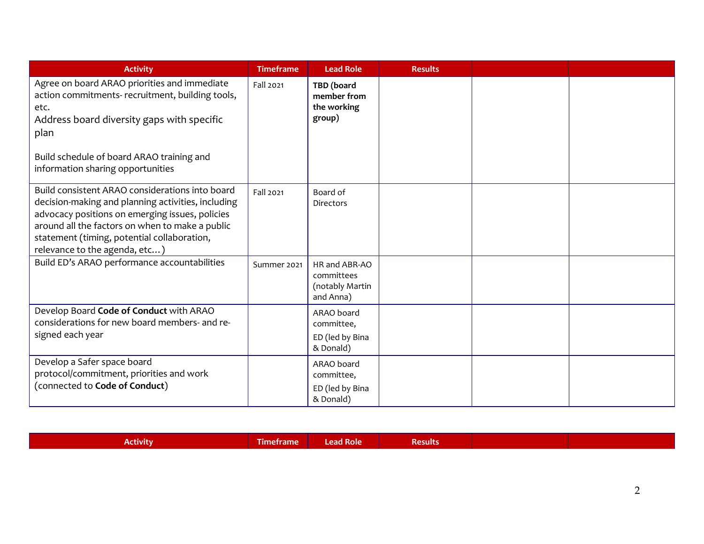| <b>Activity</b>                                                                                                                                                                                                                                                                             | <b>Timeframe</b> | <b>Lead Role</b>                                            | <b>Results</b> |  |
|---------------------------------------------------------------------------------------------------------------------------------------------------------------------------------------------------------------------------------------------------------------------------------------------|------------------|-------------------------------------------------------------|----------------|--|
| Agree on board ARAO priorities and immediate<br>action commitments- recruitment, building tools,<br>etc.<br>Address board diversity gaps with specific<br>plan<br>Build schedule of board ARAO training and<br>information sharing opportunities                                            | Fall 2021        | TBD (board<br>member from<br>the working<br>group)          |                |  |
| Build consistent ARAO considerations into board<br>decision-making and planning activities, including<br>advocacy positions on emerging issues, policies<br>around all the factors on when to make a public<br>statement (timing, potential collaboration,<br>relevance to the agenda, etc) | Fall 2021        | Board of<br>Directors                                       |                |  |
| Build ED's ARAO performance accountabilities                                                                                                                                                                                                                                                | Summer 2021      | HR and ABR-AO<br>committees<br>(notably Martin<br>and Anna) |                |  |
| Develop Board Code of Conduct with ARAO<br>considerations for new board members- and re-<br>signed each year                                                                                                                                                                                |                  | ARAO board<br>committee,<br>ED (led by Bina<br>& Donald)    |                |  |
| Develop a Safer space board<br>protocol/commitment, priorities and work<br>(connected to Code of Conduct)                                                                                                                                                                                   |                  | ARAO board<br>committee,<br>ED (led by Bina<br>& Donald)    |                |  |

| <b>Activity</b> | --<br><b>Timetrame</b> | Lead Role | <b>Results</b> |  |
|-----------------|------------------------|-----------|----------------|--|
|                 |                        |           |                |  |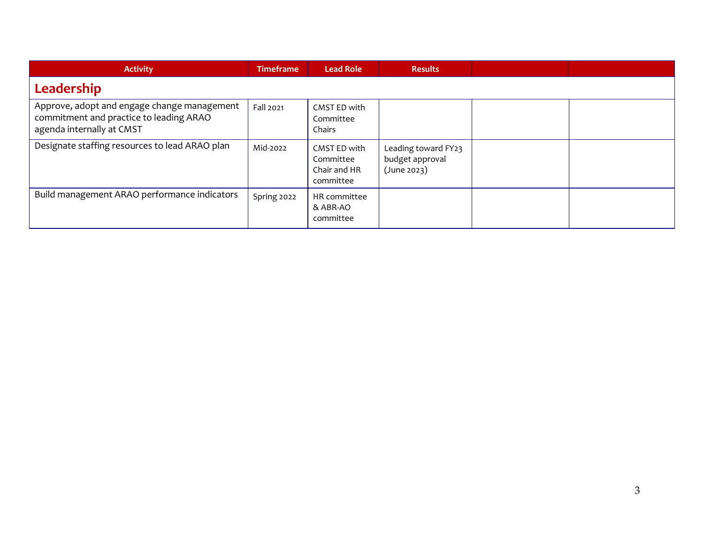| <b>Activity</b>                                                                                                     | <b>Timeframe</b> | <b>Lead Role</b>                                       | <b>Results</b>                                        |  |
|---------------------------------------------------------------------------------------------------------------------|------------------|--------------------------------------------------------|-------------------------------------------------------|--|
| Leadership                                                                                                          |                  |                                                        |                                                       |  |
| Approve, adopt and engage change management<br>commitment and practice to leading ARAO<br>agenda internally at CMST | Fall 2021        | CMST ED with<br>Committee<br>Chairs                    |                                                       |  |
| Designate staffing resources to lead ARAO plan                                                                      | Mid-2022         | CMST ED with<br>Committee<br>Chair and HR<br>committee | Leading toward FY23<br>budget approval<br>(June 2023) |  |
| Build management ARAO performance indicators                                                                        | Spring 2022      | HR committee<br>& ABR-AO<br>committee                  |                                                       |  |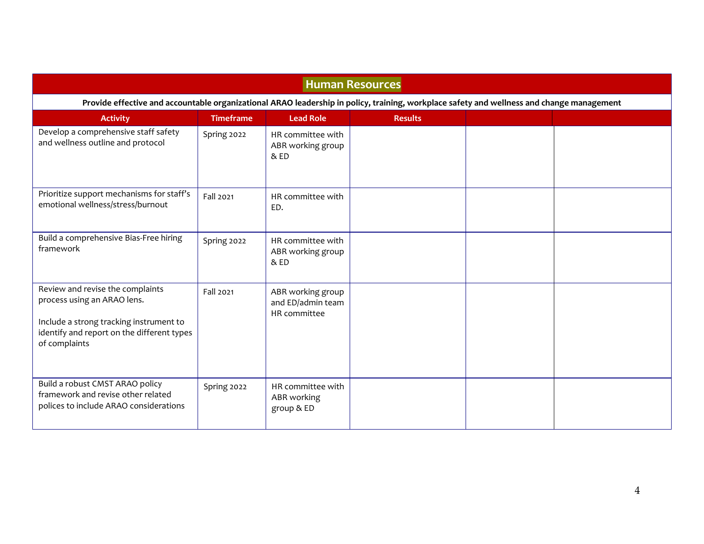| <b>Human Resources</b>                                                                                                                                                    |                                                                                                                                           |                                                           |                |  |  |  |  |  |  |  |  |
|---------------------------------------------------------------------------------------------------------------------------------------------------------------------------|-------------------------------------------------------------------------------------------------------------------------------------------|-----------------------------------------------------------|----------------|--|--|--|--|--|--|--|--|
|                                                                                                                                                                           | Provide effective and accountable organizational ARAO leadership in policy, training, workplace safety and wellness and change management |                                                           |                |  |  |  |  |  |  |  |  |
| <b>Activity</b>                                                                                                                                                           | <b>Timeframe</b>                                                                                                                          | <b>Lead Role</b>                                          | <b>Results</b> |  |  |  |  |  |  |  |  |
| Develop a comprehensive staff safety<br>and wellness outline and protocol                                                                                                 | Spring 2022                                                                                                                               | HR committee with<br>ABR working group<br>&E <sub>D</sub> |                |  |  |  |  |  |  |  |  |
| Prioritize support mechanisms for staff's<br>emotional wellness/stress/burnout                                                                                            | Fall 2021                                                                                                                                 | HR committee with<br>ED.                                  |                |  |  |  |  |  |  |  |  |
| Build a comprehensive Bias-Free hiring<br>framework                                                                                                                       | Spring 2022                                                                                                                               | HR committee with<br>ABR working group<br>$&$ ED          |                |  |  |  |  |  |  |  |  |
| Review and revise the complaints<br>process using an ARAO lens.<br>Include a strong tracking instrument to<br>identify and report on the different types<br>of complaints | Fall 2021                                                                                                                                 | ABR working group<br>and ED/admin team<br>HR committee    |                |  |  |  |  |  |  |  |  |
| Build a robust CMST ARAO policy<br>framework and revise other related<br>polices to include ARAO considerations                                                           | Spring 2022                                                                                                                               | HR committee with<br>ABR working<br>group & ED            |                |  |  |  |  |  |  |  |  |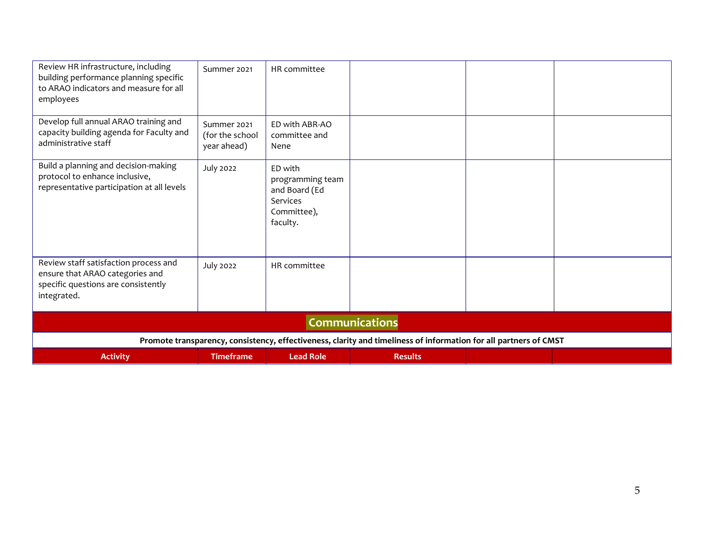| Review HR infrastructure, including<br>building performance planning specific<br>to ARAO indicators and measure for all<br>employees | Summer 2021                                   | HR committee                                                                        |                                                                                                                  |  |
|--------------------------------------------------------------------------------------------------------------------------------------|-----------------------------------------------|-------------------------------------------------------------------------------------|------------------------------------------------------------------------------------------------------------------|--|
| Develop full annual ARAO training and<br>capacity building agenda for Faculty and<br>administrative staff                            | Summer 2021<br>(for the school<br>year ahead) | ED with ABR-AO<br>committee and<br>Nene                                             |                                                                                                                  |  |
| Build a planning and decision-making<br>protocol to enhance inclusive,<br>representative participation at all levels                 | <b>July 2022</b>                              | ED with<br>programming team<br>and Board (Ed<br>Services<br>Committee),<br>faculty. |                                                                                                                  |  |
| Review staff satisfaction process and<br>ensure that ARAO categories and<br>specific questions are consistently<br>integrated.       | <b>July 2022</b>                              | HR committee                                                                        |                                                                                                                  |  |
|                                                                                                                                      |                                               |                                                                                     | <b>Communications</b>                                                                                            |  |
|                                                                                                                                      |                                               |                                                                                     | Promote transparency, consistency, effectiveness, clarity and timeliness of information for all partners of CMST |  |
| <b>Activity</b>                                                                                                                      | <b>Timeframe</b>                              | <b>Lead Role</b>                                                                    | <b>Results</b>                                                                                                   |  |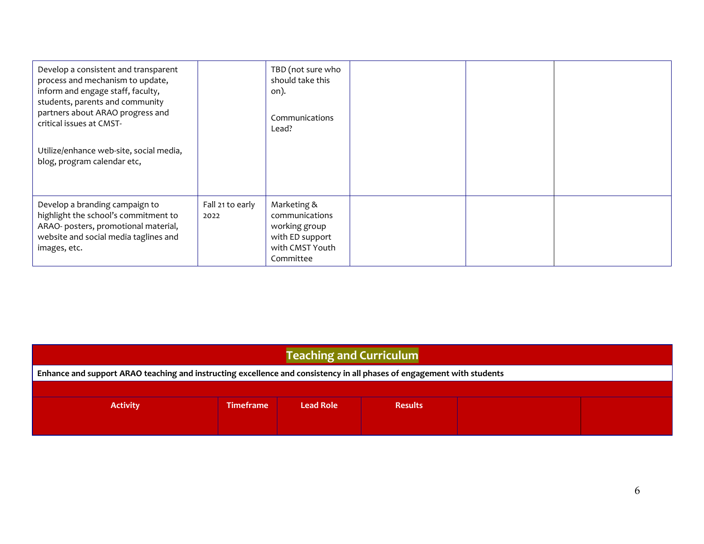| Develop a consistent and transparent<br>process and mechanism to update,<br>inform and engage staff, faculty,<br>students, parents and community<br>partners about ARAO progress and<br>critical issues at CMST-<br>Utilize/enhance web-site, social media,<br>blog, program calendar etc, |                          | TBD (not sure who<br>should take this<br>on).<br>Communications<br>Lead?                          |  |  |
|--------------------------------------------------------------------------------------------------------------------------------------------------------------------------------------------------------------------------------------------------------------------------------------------|--------------------------|---------------------------------------------------------------------------------------------------|--|--|
| Develop a branding campaign to<br>highlight the school's commitment to<br>ARAO- posters, promotional material,<br>website and social media taglines and<br>images, etc.                                                                                                                    | Fall 21 to early<br>2022 | Marketing &<br>communications<br>working group<br>with ED support<br>with CMST Youth<br>Committee |  |  |

| <b>Teaching and Curriculum</b>                                                                                         |                  |                  |                |  |  |  |  |  |  |
|------------------------------------------------------------------------------------------------------------------------|------------------|------------------|----------------|--|--|--|--|--|--|
| Enhance and support ARAO teaching and instructing excellence and consistency in all phases of engagement with students |                  |                  |                |  |  |  |  |  |  |
|                                                                                                                        |                  |                  |                |  |  |  |  |  |  |
| <b>Activity</b>                                                                                                        | <b>Timeframe</b> | <b>Lead Role</b> | <b>Results</b> |  |  |  |  |  |  |
|                                                                                                                        |                  |                  |                |  |  |  |  |  |  |
|                                                                                                                        |                  |                  |                |  |  |  |  |  |  |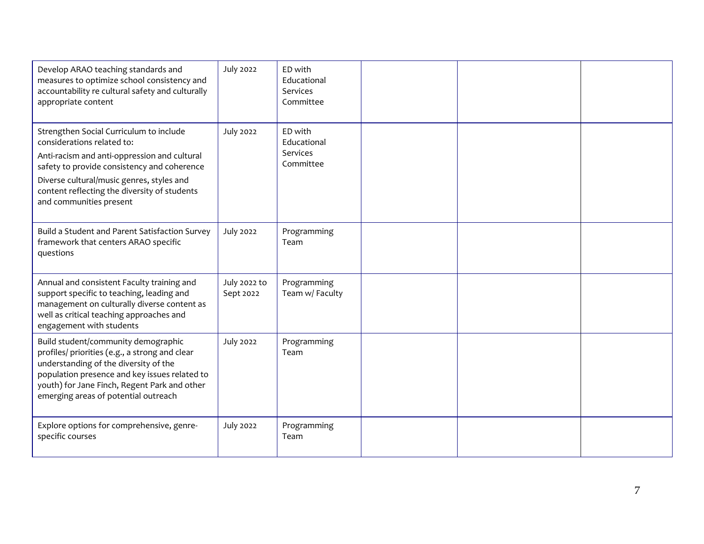| Develop ARAO teaching standards and<br>measures to optimize school consistency and<br>accountability re cultural safety and culturally<br>appropriate content                                                                                                                                | <b>July 2022</b>          | ED with<br>Educational<br>Services<br>Committee |  |  |
|----------------------------------------------------------------------------------------------------------------------------------------------------------------------------------------------------------------------------------------------------------------------------------------------|---------------------------|-------------------------------------------------|--|--|
| Strengthen Social Curriculum to include<br>considerations related to:<br>Anti-racism and anti-oppression and cultural<br>safety to provide consistency and coherence<br>Diverse cultural/music genres, styles and<br>content reflecting the diversity of students<br>and communities present | <b>July 2022</b>          | ED with<br>Educational<br>Services<br>Committee |  |  |
| Build a Student and Parent Satisfaction Survey<br>framework that centers ARAO specific<br>questions                                                                                                                                                                                          | <b>July 2022</b>          | Programming<br>Team                             |  |  |
| Annual and consistent Faculty training and<br>support specific to teaching, leading and<br>management on culturally diverse content as<br>well as critical teaching approaches and<br>engagement with students                                                                               | July 2022 to<br>Sept 2022 | Programming<br>Team w/ Faculty                  |  |  |
| Build student/community demographic<br>profiles/ priorities (e.g., a strong and clear<br>understanding of the diversity of the<br>population presence and key issues related to<br>youth) for Jane Finch, Regent Park and other<br>emerging areas of potential outreach                      | <b>July 2022</b>          | Programming<br>Team                             |  |  |
| Explore options for comprehensive, genre-<br>specific courses                                                                                                                                                                                                                                | <b>July 2022</b>          | Programming<br>Team                             |  |  |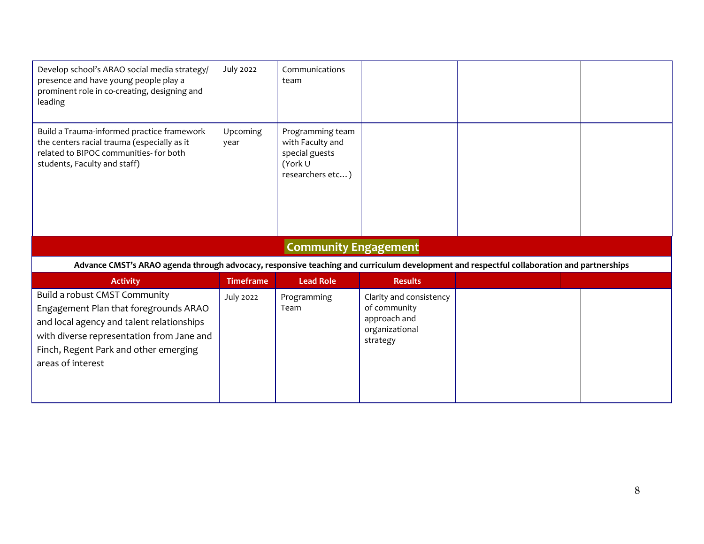| Develop school's ARAO social media strategy/<br>presence and have young people play a<br>prominent role in co-creating, designing and<br>leading                    | <b>July 2022</b> | Communications<br>team                                                                |                |  |
|---------------------------------------------------------------------------------------------------------------------------------------------------------------------|------------------|---------------------------------------------------------------------------------------|----------------|--|
| Build a Trauma-informed practice framework<br>the centers racial trauma (especially as it<br>related to BIPOC communities- for both<br>students, Faculty and staff) | Upcoming<br>year | Programming team<br>with Faculty and<br>special guests<br>(York U<br>researchers etc) |                |  |
|                                                                                                                                                                     |                  |                                                                                       |                |  |
|                                                                                                                                                                     |                  | <b>Community Engagement</b>                                                           |                |  |
| Advance CMST's ARAO agenda through advocacy, responsive teaching and curriculum development and respectful collaboration and partnerships                           |                  |                                                                                       |                |  |
| <b>Activity</b>                                                                                                                                                     | <b>Timeframe</b> | <b>Lead Role</b>                                                                      | <b>Results</b> |  |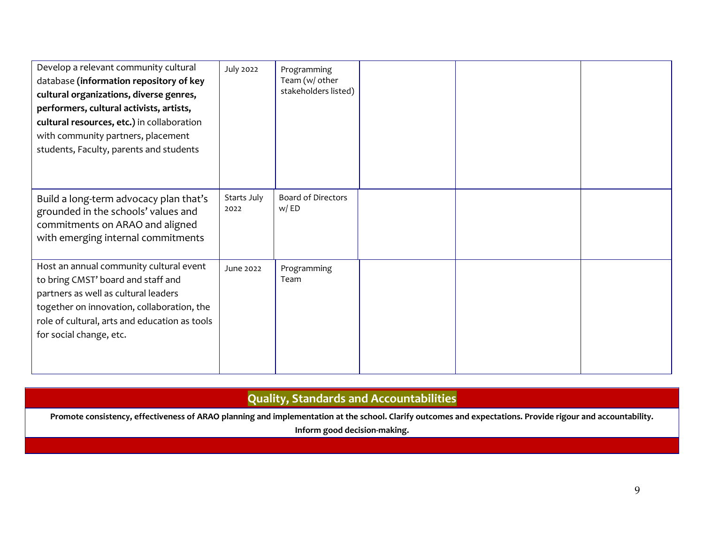| Develop a relevant community cultural<br>database (information repository of key<br>cultural organizations, diverse genres,<br>performers, cultural activists, artists,<br>cultural resources, etc.) in collaboration<br>with community partners, placement<br>students, Faculty, parents and students | <b>July 2022</b>    | Programming<br>Team (w/ other<br>stakeholders listed) |  |  |
|--------------------------------------------------------------------------------------------------------------------------------------------------------------------------------------------------------------------------------------------------------------------------------------------------------|---------------------|-------------------------------------------------------|--|--|
| Build a long-term advocacy plan that's<br>grounded in the schools' values and<br>commitments on ARAO and aligned<br>with emerging internal commitments                                                                                                                                                 | Starts July<br>2022 | <b>Board of Directors</b><br>w/ED                     |  |  |
| Host an annual community cultural event<br>to bring CMST' board and staff and<br>partners as well as cultural leaders<br>together on innovation, collaboration, the<br>role of cultural, arts and education as tools<br>for social change, etc.                                                        | June 2022           | Programming<br>Team                                   |  |  |

## **Quality, Standards and Accountabilities**

**Promote consistency, effectiveness of ARAO planning and implementation at the school. Clarify outcomes and expectations. Provide rigour and accountability.** 

**Inform good decision-making.**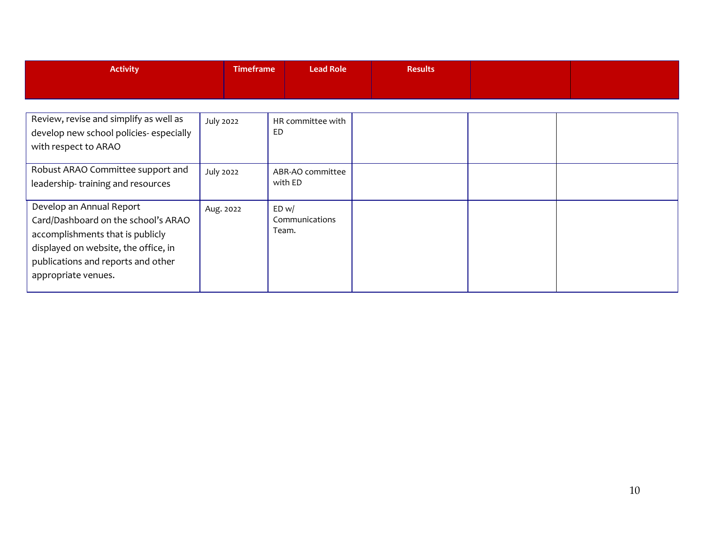| <b>Activity</b>                                                                                                                                                                                          | <b>Timeframe</b> | Lead Role                        | <b>Results</b> |  |
|----------------------------------------------------------------------------------------------------------------------------------------------------------------------------------------------------------|------------------|----------------------------------|----------------|--|
| Review, revise and simplify as well as<br>develop new school policies-especially<br>with respect to ARAO                                                                                                 | <b>July 2022</b> | HR committee with<br>ED          |                |  |
| Robust ARAO Committee support and<br>leadership-training and resources                                                                                                                                   | <b>July 2022</b> | ABR-AO committee<br>with ED      |                |  |
| Develop an Annual Report<br>Card/Dashboard on the school's ARAO<br>accomplishments that is publicly<br>displayed on website, the office, in<br>publications and reports and other<br>appropriate venues. | Aug. 2022        | ED w/<br>Communications<br>Team. |                |  |